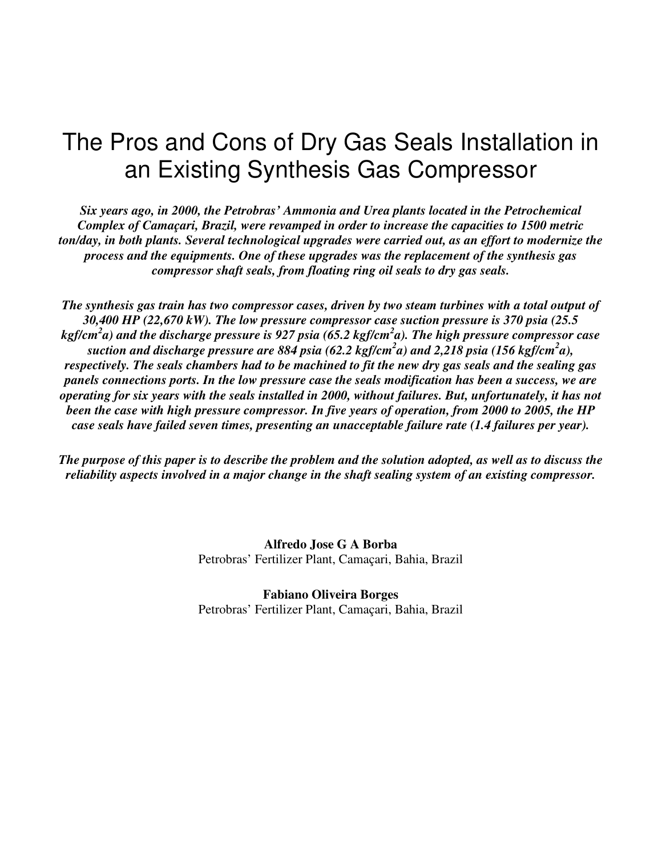# The Pros and Cons of Dry Gas Seals Installation in an Existing Synthesis Gas Compressor

*Six years ago, in 2000, the Petrobras' Ammonia and Urea plants located in the Petrochemical Complex of Camaçari, Brazil, were revamped in order to increase the capacities to 1500 metric ton/day, in both plants. Several technological upgrades were carried out, as an effort to modernize the process and the equipments. One of these upgrades was the replacement of the synthesis gas compressor shaft seals, from floating ring oil seals to dry gas seals.*

The synthesis gas train has two compressor cases, driven by two steam turbines with a total output of *30,400 HP (22,670 kW). The low pressure compressor case suction pressure is 370 psia (25.5* kgf/cm $^2$ a) and the discharge pressure is 927 psia (65.2 kgf/cm $^2$ a). The high pressure compressor case *suction and discharge pressure are 884 psia (62.2 kgf/cm 2 a) and 2,218 psia (156 kgf/cm 2 a),* respectively. The seals chambers had to be machined to fit the new dry gas seals and the sealing gas *panels connections ports. In the low pressure case the seals modification has been a success, we are* operating for six years with the seals installed in 2000, without failures. But, unfortunately, it has not *been the case with high pressure compressor. In five years of operation, from 2000 to 2005, the HP case seals have failed seven times, presenting an unacceptable failure rate (1.4 failures per year).*

The purpose of this paper is to describe the problem and the solution adopted, as well as to discuss the *reliability aspects involved in a major change in the shaft sealing system of an existing compressor.*

> **Alfredo Jose G A Borba** Petrobras' Fertilizer Plant, Camaçari, Bahia, Brazil

> **Fabiano Oliveira Borges** Petrobras' Fertilizer Plant, Camaçari, Bahia, Brazil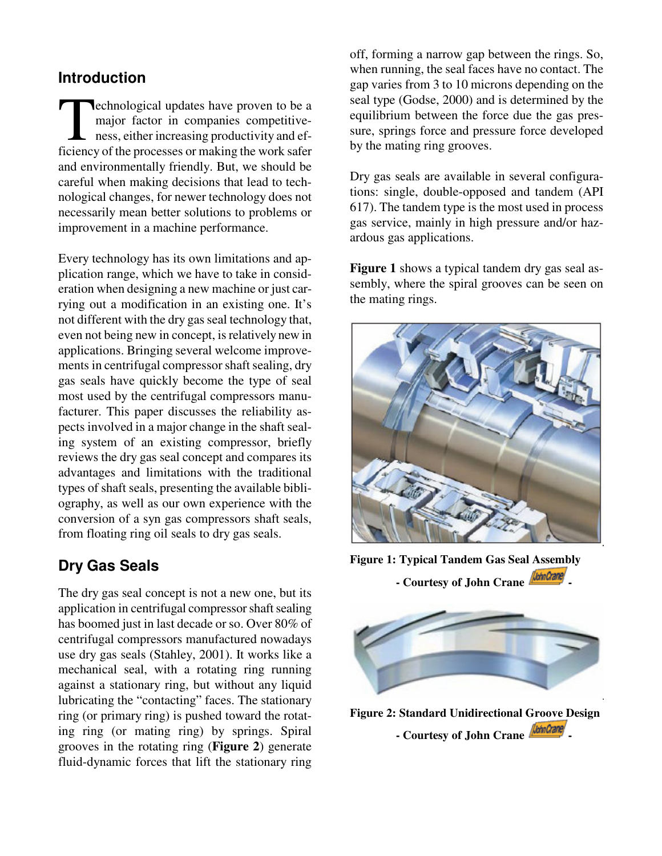#### **Introduction**

echnological updates have proven to be a major factor in companies competitiveness, either increasing productivity and ef**ficiency** of the processes or making the work safer ficiency of the processes or making the work safer and environmentally friendly. But, we should be careful when making decisions that lead to technological changes, for newer technology does not necessarily mean better solutions to problems or improvement in a machine performance.

Every technology has its own limitations and application range, which we have to take in consideration when designing a new machine or just carrying out a modification in an existing one. It's not different with the dry gas seal technology that, even not being new in concept, is relatively new in applications. Bringing several welcome improvements in centrifugal compressor shaft sealing, dry gas seals have quickly become the type of seal most used by the centrifugal compressors manufacturer. This paper discusses the reliability aspects involved in a major change in the shaft sealing system of an existing compressor, briefly reviews the dry gas seal concept and compares its advantages and limitations with the traditional types of shaft seals, presenting the available bibliography, as well as our own experience with the conversion of a syn gas compressors shaft seals, from floating ring oil seals to dry gas seals.

## **Dry Gas Seals**

The dry gas seal concept is not a new one, but its application in centrifugal compressor shaft sealing has boomed just in last decade or so. Over 80% of centrifugal compressors manufactured nowadays use dry gas seals (Stahley, 2001). It works like a mechanical seal, with a rotating ring running against a stationary ring, but without any liquid lubricating the "contacting" faces. The stationary ring (or primary ring) is pushed toward the rotating ring (or mating ring) by springs. Spiral grooves in the rotating ring (**Figure 2**) generate fluid-dynamic forces that lift the stationary ring

off, forming a narrow gap between the rings. So, when running, the seal faces have no contact. The gap varies from 3 to 10 microns depending on the seal type (Godse, 2000) and is determined by the equilibrium between the force due the gas pressure, springs force and pressure force developed by the mating ring grooves.

Dry gas seals are available in several configurations: single, double-opposed and tandem (API 617). The tandem type is the most used in process gas service, mainly in high pressure and/or hazardous gas applications.

**Figure 1** shows a typical tandem dry gas seal assembly, where the spiral grooves can be seen on the mating rings.



**Figure 1: Typical Tandem Gas Seal Assembly**





**Figure 2: Standard Unidirectional Groove Design - Courtesy of John Crane -**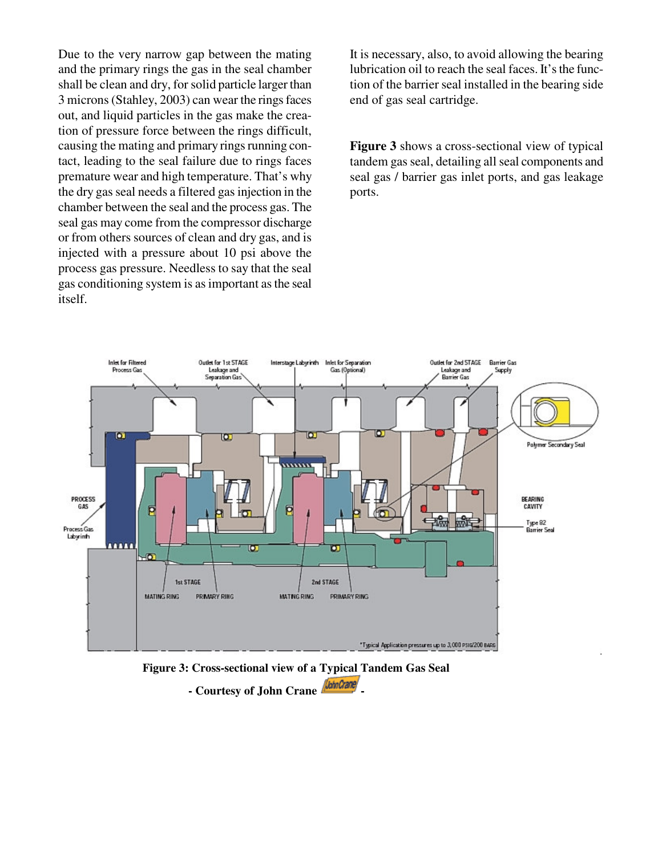Due to the very narrow gap between the mating and the primary rings the gas in the seal chamber shall be clean and dry, forsolid particle larger than 3 microns(Stahley, 2003) can wear the ringsfaces out, and liquid particles in the gas make the creation of pressure force between the rings difficult, causing the mating and primary rings running contact, leading to the seal failure due to rings faces premature wear and high temperature. That's why the dry gas seal needs a filtered gas injection in the chamber between the seal and the process gas. The seal gas may come from the compressor discharge or from others sources of clean and dry gas, and is injected with a pressure about 10 psi above the process gas pressure. Needless to say that the seal gas conditioning system is asimportant asthe seal itself.

It is necessary, also, to avoid allowing the bearing lubrication oil to reach the seal faces. It'sthe function of the barrier seal installed in the bearing side end of gas seal cartridge.

**Figure 3** shows a cross-sectional view of typical tandem gas seal, detailing all seal components and seal gas / barrier gas inlet ports, and gas leakage ports.



**Figure 3: Cross-sectional view of a Typical Tandem Gas Seal**

**- Courtesy of John Crane -**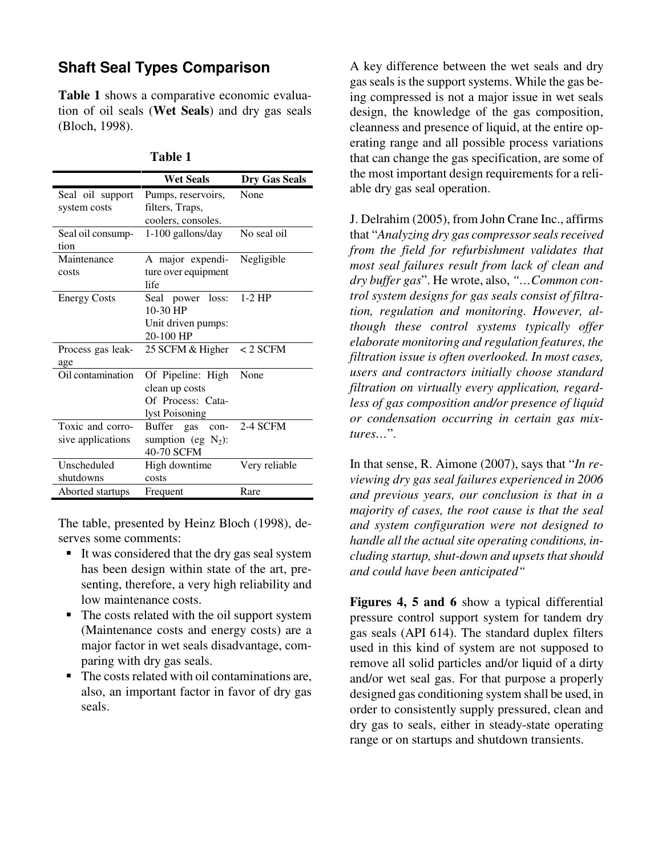### **Shaft Seal Types Comparison**

**Table 1** shows a comparative economic evaluation of oil seals (**Wet Seals**) and dry gas seals (Bloch, 1998).

|                     | <b>Wet Seals</b>             | <b>Dry Gas Seals</b> |
|---------------------|------------------------------|----------------------|
| Seal oil support    | Pumps, reservoirs,           | None                 |
| system costs        | filters, Traps,              |                      |
|                     | coolers, consoles.           |                      |
| Seal oil consump-   | 1-100 gallons/day            | No seal oil          |
| tion                |                              |                      |
| Maintenance         | A major expendi-             | Negligible           |
| costs               | ture over equipment          |                      |
|                     | life                         |                      |
| <b>Energy Costs</b> | Seal power loss:             | $1-2$ HP             |
|                     | $10-30$ HP                   |                      |
|                     | Unit driven pumps:           |                      |
|                     | 20-100 HP                    |                      |
| Process gas leak-   | 25 SCFM & Higher             | $< 2$ SCFM           |
| age                 |                              |                      |
| Oil contamination   | Of Pipeline: High            | None                 |
|                     | clean up costs               |                      |
|                     | Of Process: Cata-            |                      |
|                     | lyst Poisoning               |                      |
| Toxic and corro-    | <b>Buffer</b><br>gas<br>con- | 2-4 SCFM             |
| sive applications   | sumption (eg $N_2$ ):        |                      |
|                     | 40-70 SCFM                   |                      |
| Unscheduled         | High downtime                | Very reliable        |
| shutdowns           | costs                        |                      |
| Aborted startups    | Frequent                     | Rare                 |

| anı<br>16 |  |
|-----------|--|
|-----------|--|

The table, presented by Heinz Bloch (1998), deserves some comments:

- It was considered that the dry gas seal system has been design within state of the art, presenting, therefore, a very high reliability and low maintenance costs.
- The costs related with the oil support system (Maintenance costs and energy costs) are a major factor in wet seals disadvantage, comparing with dry gas seals.
- $\blacksquare$  The costs related with oil contaminations are, also, an important factor in favor of dry gas seals.

A key difference between the wet seals and dry gas seals is the support systems. While the gas being compressed is not a major issue in wet seals design, the knowledge of the gas composition, cleanness and presence of liquid, at the entire operating range and all possible process variations that can change the gas specification, are some of the most important design requirements for a reliable dry gas seal operation.

J. Delrahim (2005), from John Crane Inc., affirms that "*Analyzing dry gas compressorsealsreceived from the field for refurbishment validates that most seal failures result from lack of clean and dry buffer gas*". He wrote, also, *"…Common control system designs for gas seals consist of filtration, regulation and monitoring. However, although these control systems typically offer elaborate monitoring and regulation features, the filtration issue is often overlooked. In most cases, users and contractors initially choose standard filtration on virtually every application, regardless of gas composition and/or presence of liquid or condensation occurring in certain gas mixtures…*".

In that sense, R. Aimone (2007), says that "*In reviewing dry gas seal failures experienced in 2006 and previous years, our conclusion is that in a majority of cases, the root cause is that the seal and system configuration were not designed to handle all the actualsite operating conditions, including startup, shut-down and upsets that should and could have been anticipated"*

**Figures 4, 5 and 6** show a typical differential pressure control support system for tandem dry gas seals (API 614). The standard duplex filters used in this kind of system are not supposed to remove all solid particles and/or liquid of a dirty and/or wet seal gas. For that purpose a properly designed gas conditioning system shall be used, in order to consistently supply pressured, clean and dry gas to seals, either in steady-state operating range or on startups and shutdown transients.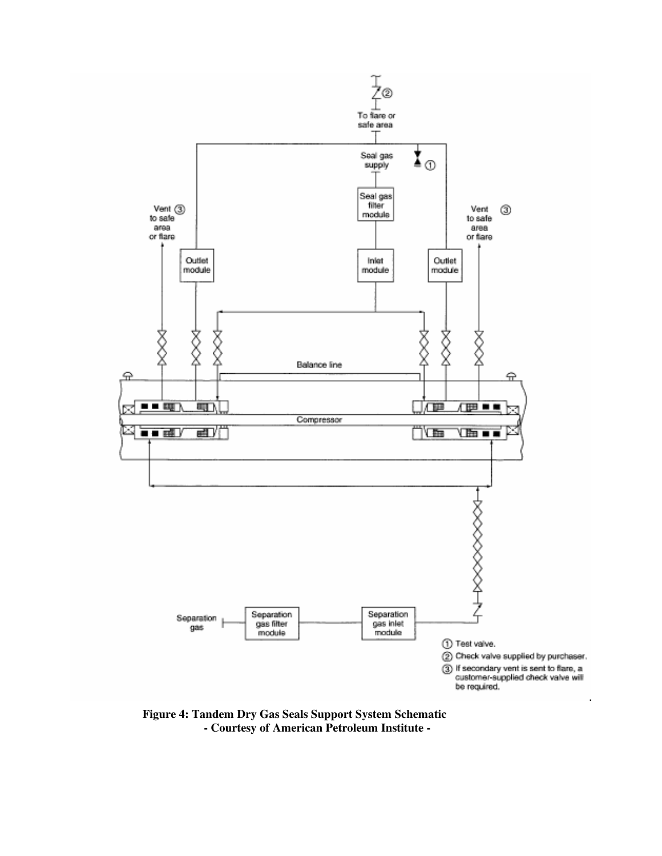

**Figure 4: Tandem Dry Gas Seals Support System Schematic - Courtesy of American Petroleum Institute -**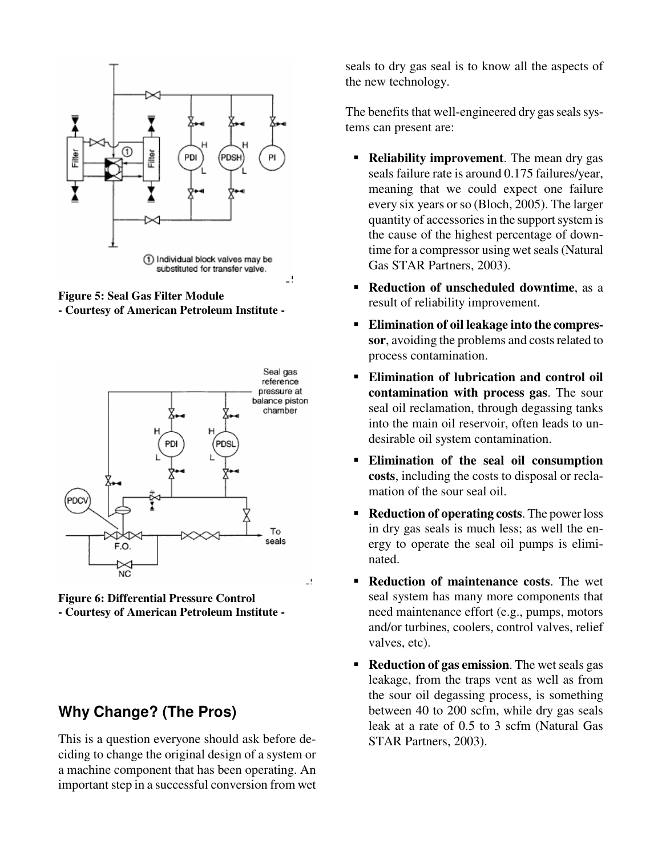

**Figure 5: Seal Gas Filter Module - Courtesy of American Petroleum Institute -**



**Figure 6: Differential Pressure Control - Courtesy of American Petroleum Institute -**

### **Why Change? (The Pros)**

This is a question everyone should ask before deciding to change the original design of a system or a machine component that has been operating. An important step in a successful conversion from wet seals to dry gas seal is to know all the aspects of the new technology.

The benefits that well-engineered dry gas seals systems can present are:

- **Reliability improvement**. The mean dry gas seals failure rate is around 0.175 failures/year, meaning that we could expect one failure every six years orso (Bloch, 2005). The larger quantity of accessories in the support system is the cause of the highest percentage of downtime for a compressor using wet seals (Natural Gas STAR Partners, 2003).
- **Reduction of unscheduled downtime**, as a result of reliability improvement.
- **Elimination of oil leakage into the compressor**, avoiding the problems and costs related to process contamination.
- **Elimination of lubrication and control oil contamination with process gas**. The sour seal oil reclamation, through degassing tanks into the main oil reservoir, often leads to undesirable oil system contamination.
- **Elimination of the seal oil consumption costs**, including the costs to disposal or reclamation of the sour seal oil.
- **Reduction of operating costs**. The power loss in dry gas seals is much less; as well the energy to operate the seal oil pumps is eliminated.
- **Reduction of maintenance costs**. The wet seal system has many more components that need maintenance effort (e.g., pumps, motors and/or turbines, coolers, control valves, relief valves, etc).
- **Reduction of gas emission.** The wet seals gas leakage, from the traps vent as well as from the sour oil degassing process, is something between 40 to 200 scfm, while dry gas seals leak at a rate of 0.5 to 3 scfm (Natural Gas STAR Partners, 2003).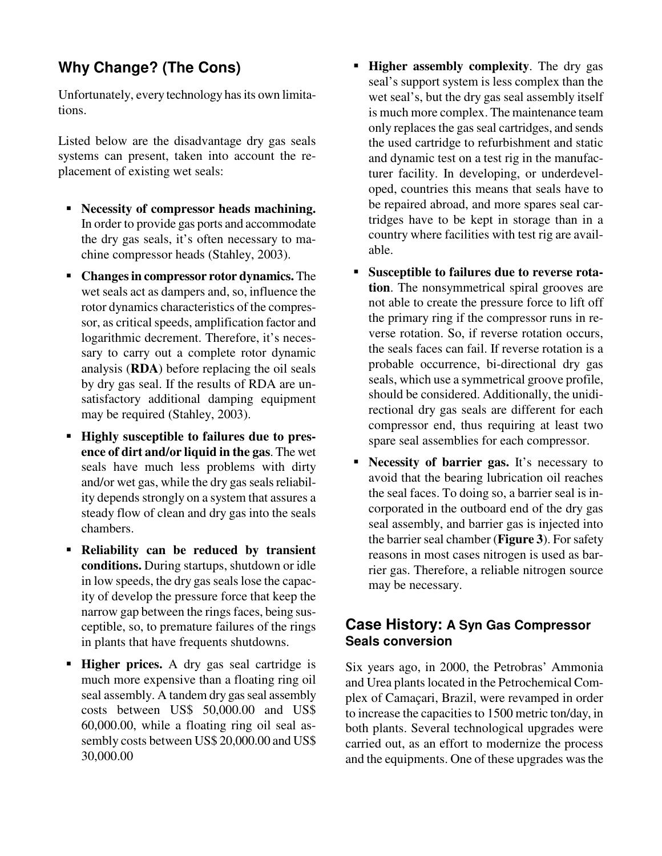# **Why Change? (The Cons)**

Unfortunately, every technology has its own limitations.

Listed below are the disadvantage dry gas seals systems can present, taken into account the replacement of existing wet seals:

- **Necessity of compressor heads machining.** In order to provide gas ports and accommodate the dry gas seals, it's often necessary to machine compressor heads (Stahley, 2003).
- **Changesin compressor rotor dynamics.** The wet seals act as dampers and, so, influence the rotor dynamics characteristics of the compressor, as critical speeds, amplification factor and logarithmic decrement. Therefore, it's necessary to carry out a complete rotor dynamic analysis (**RDA**) before replacing the oil seals by dry gas seal. If the results of RDA are unsatisfactory additional damping equipment may be required (Stahley, 2003).
- **Highly susceptible to failures due to presence of dirt and/or liquid in the gas**. The wet seals have much less problems with dirty and/or wet gas, while the dry gas seals reliability depends strongly on a system that assures a steady flow of clean and dry gas into the seals chambers.
- **Reliability can be reduced by transient conditions.** During startups, shutdown or idle in low speeds, the dry gas seals lose the capacity of develop the pressure force that keep the narrow gap between the rings faces, being susceptible, so, to premature failures of the rings in plants that have frequents shutdowns.
- **Higher prices.** A dry gas seal cartridge is much more expensive than a floating ring oil seal assembly. A tandem dry gas seal assembly costs between US\$ 50,000.00 and US\$ 60,000.00, while a floating ring oil seal assembly costs between US\$ 20,000.00 and US\$ 30,000.00
- **Higher assembly complexity**. The dry gas seal's support system is less complex than the wet seal's, but the dry gas seal assembly itself is much more complex. The maintenance team only replaces the gas seal cartridges, and sends the used cartridge to refurbishment and static and dynamic test on a test rig in the manufacturer facility. In developing, or underdeveloped, countries this means that seals have to be repaired abroad, and more spares seal cartridges have to be kept in storage than in a country where facilities with test rig are available.
- **Susceptible to failures due to reverse rotation**. The nonsymmetrical spiral grooves are not able to create the pressure force to lift off the primary ring if the compressor runs in reverse rotation. So, if reverse rotation occurs, the seals faces can fail. If reverse rotation is a probable occurrence, bi-directional dry gas seals, which use a symmetrical groove profile, should be considered. Additionally, the unidirectional dry gas seals are different for each compressor end, thus requiring at least two spare seal assemblies for each compressor.
- **Necessity of barrier gas.** It's necessary to avoid that the bearing lubrication oil reaches the seal faces. To doing so, a barrier seal is incorporated in the outboard end of the dry gas seal assembly, and barrier gas is injected into the barrier seal chamber (**Figure** 3). For safety reasons in most cases nitrogen is used as barrier gas. Therefore, a reliable nitrogen source may be necessary.

#### **Case History: A Syn Gas Compressor Seals conversion**

Six years ago, in 2000, the Petrobras' Ammonia and Urea plants located in the Petrochemical Complex of Camaçari, Brazil, were revamped in order to increase the capacities to 1500 metric ton/day, in both plants. Several technological upgrades were carried out, as an effort to modernize the process and the equipments. One of these upgrades wasthe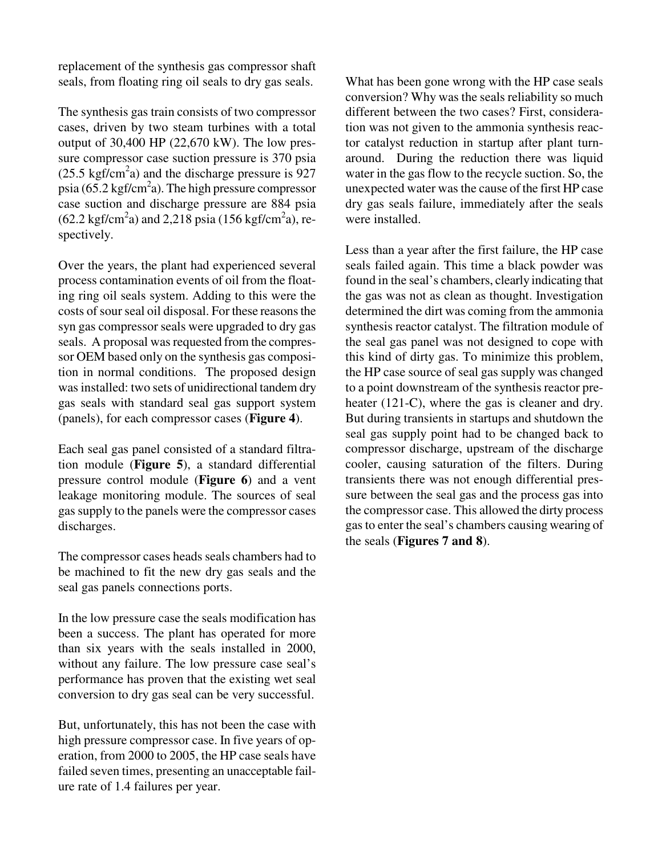replacement of the synthesis gas compressor shaft seals, from floating ring oil seals to dry gas seals.

The synthesis gas train consists of two compressor cases, driven by two steam turbines with a total output of 30,400 HP (22,670 kW). The low pressure compressor case suction pressure is 370 psia  $(25.5 \text{ kgf/cm}^2 a)$  and the discharge pressure is 927 psia (65.2 kgf/cm<sup>2</sup>a). The high pressure compressor case suction and discharge pressure are 884 psia  $(62.2 \text{ kgf/cm}^2 a)$  and 2,218 psia (156 kgf/cm<sup>2</sup>a), respectively.

Over the years, the plant had experienced several process contamination events of oil from the floating ring oil seals system. Adding to this were the costs of sour seal oil disposal. For these reasons the syn gas compressor seals were upgraded to dry gas seals. A proposal was requested from the compressor OEM based only on the synthesis gas composition in normal conditions. The proposed design was installed: two sets of unidirectional tandem dry gas seals with standard seal gas support system (panels), for each compressor cases (**Figure 4**).

Each seal gas panel consisted of a standard filtration module (**Figure 5**), a standard differential pressure control module (**Figure 6**) and a vent leakage monitoring module. The sources of seal gassupply to the panels were the compressor cases discharges.

The compressor cases heads seals chambers had to be machined to fit the new dry gas seals and the seal gas panels connections ports.

In the low pressure case the seals modification has been a success. The plant has operated for more than six years with the seals installed in 2000, without any failure. The low pressure case seal's performance has proven that the existing wet seal conversion to dry gas seal can be very successful.

But, unfortunately, this has not been the case with high pressure compressor case. In five years of operation, from 2000 to 2005, the HP case seals have failed seven times, presenting an unacceptable failure rate of 1.4 failures per year.

What has been gone wrong with the HP case seals conversion? Why was the seals reliability so much different between the two cases? First, consideration was not given to the ammonia synthesis reactor catalyst reduction in startup after plant turnaround. During the reduction there was liquid water in the gas flow to the recycle suction. So, the unexpected water wasthe cause of the first HP case dry gas seals failure, immediately after the seals were installed.

Less than a year after the first failure, the HP case seals failed again. This time a black powder was found in the seal's chambers, clearly indicating that the gas was not as clean as thought. Investigation determined the dirt was coming from the ammonia synthesis reactor catalyst. The filtration module of the seal gas panel was not designed to cope with this kind of dirty gas. To minimize this problem, the HP case source of seal gas supply was changed to a point downstream of the synthesis reactor preheater (121-C), where the gas is cleaner and dry. But during transients in startups and shutdown the seal gas supply point had to be changed back to compressor discharge, upstream of the discharge cooler, causing saturation of the filters. During transients there was not enough differential pressure between the seal gas and the process gas into the compressor case. This allowed the dirty process gasto enter the seal's chambers causing wearing of the seals (**Figures 7 and 8**).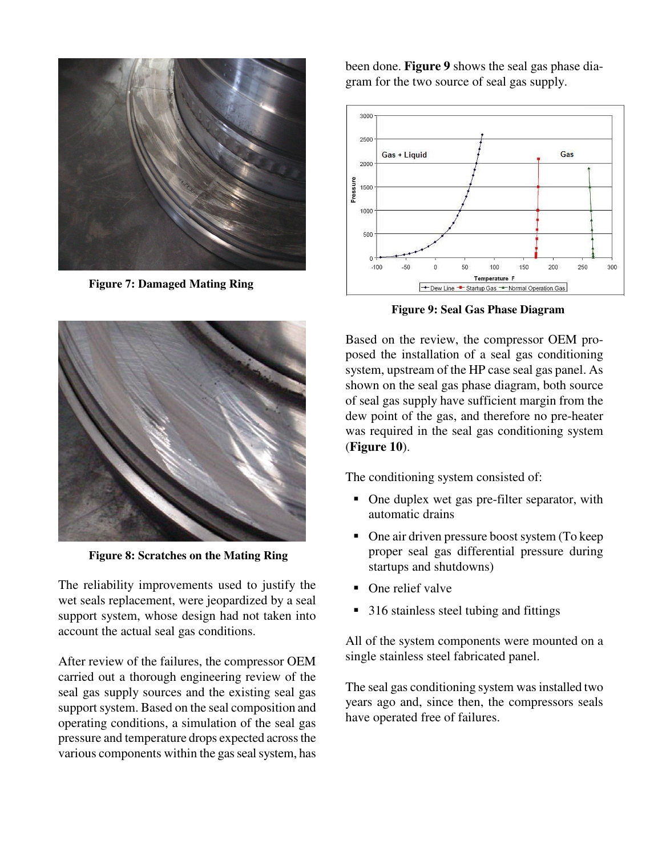

**Figure 7: Damaged Mating Ring**



**Figure 8: Scratches on the Mating Ring**

The reliability improvements used to justify the wet seals replacement, were jeopardized by a seal support system, whose design had not taken into account the actual seal gas conditions.

After review of the failures, the compressor OEM carried out a thorough engineering review of the seal gas supply sources and the existing seal gas support system. Based on the seal composition and operating conditions, a simulation of the seal gas pressure and temperature drops expected acrossthe various components within the gas seal system, has

been done. **Figure 9** shows the seal gas phase diagram for the two source of seal gas supply.



**Figure 9: Seal Gas Phase Diagram**

Based on the review, the compressor OEM proposed the installation of a seal gas conditioning system, upstream of the HP case seal gas panel. As shown on the seal gas phase diagram, both source of seal gas supply have sufficient margin from the dew point of the gas, and therefore no pre-heater was required in the seal gas conditioning system (**Figure 10**).

The conditioning system consisted of:

- One duplex wet gas pre-filter separator, with automatic drains
- One air driven pressure boost system (To keep proper seal gas differential pressure during startups and shutdowns)
- One relief valve
- 316 stainless steel tubing and fittings

All of the system components were mounted on a single stainless steel fabricated panel.

The seal gas conditioning system was installed two years ago and, since then, the compressors seals have operated free of failures.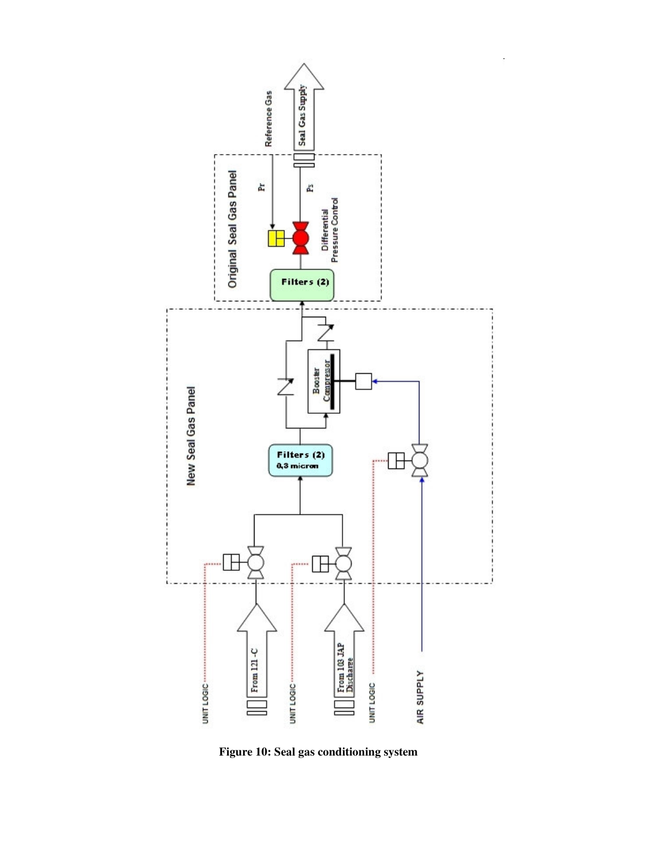

**Figure 10: Seal gas conditioning system**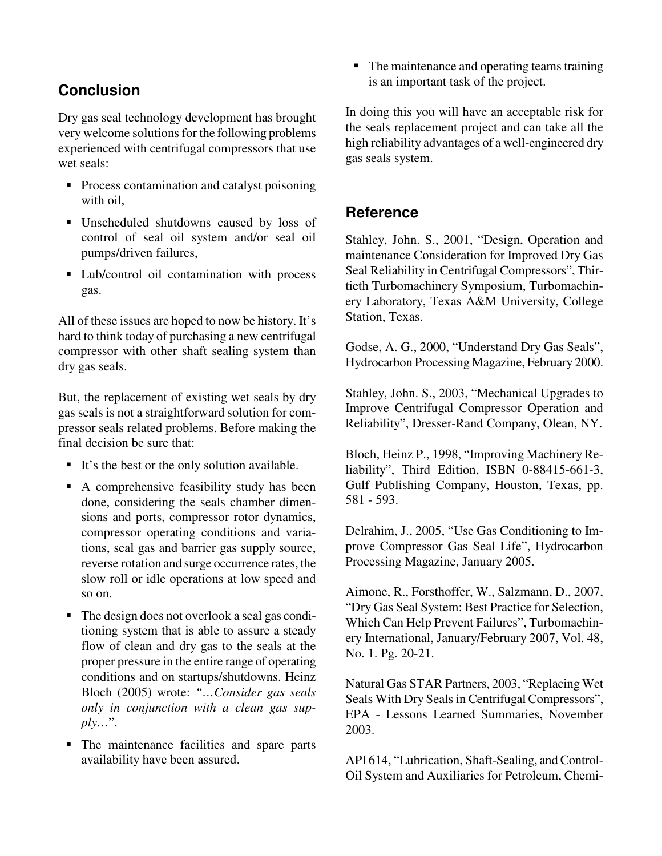# **Conclusion**

Dry gas seal technology development has brought very welcome solutions for the following problems experienced with centrifugal compressors that use wet seals:

- **Process contamination and catalyst poisoning** with oil,
- Unscheduled shutdowns caused by loss of control of seal oil system and/or seal oil pumps/driven failures,
- **Lub/control oil contamination with process** gas.

All of these issues are hoped to now be history. It's hard to think today of purchasing a new centrifugal compressor with other shaft sealing system than dry gas seals.

But, the replacement of existing wet seals by dry gas seals is not a straightforward solution for compressor seals related problems. Before making the final decision be sure that:

- It's the best or the only solution available.
- A comprehensive feasibility study has been done, considering the seals chamber dimensions and ports, compressor rotor dynamics, compressor operating conditions and variations, seal gas and barrier gas supply source, reverse rotation and surge occurrence rates, the slow roll or idle operations at low speed and so on.
- The design does not overlook a seal gas conditioning system that is able to assure a steady flow of clean and dry gas to the seals at the proper pressure in the entire range of operating conditions and on startups/shutdowns. Heinz Bloch (2005) wrote: *"…Consider gas seals only in conjunction with a clean gas supply…*".
- The maintenance facilities and spare parts availability have been assured.

 $\blacksquare$  The maintenance and operating teams training is an important task of the project.

In doing this you will have an acceptable risk for the seals replacement project and can take all the high reliability advantages of a well-engineered dry gas seals system.

#### **Reference**

Stahley, John. S., 2001, "Design, Operation and maintenance Consideration for Improved Dry Gas Seal Reliability in Centrifugal Compressors", Thirtieth Turbomachinery Symposium, Turbomachinery Laboratory, Texas A&M University, College Station, Texas.

Godse, A. G., 2000, "Understand Dry Gas Seals", Hydrocarbon Processing Magazine, February 2000.

Stahley, John. S., 2003, "Mechanical Upgrades to Improve Centrifugal Compressor Operation and Reliability", Dresser-Rand Company, Olean, NY.

Bloch, Heinz P., 1998, "Improving Machinery Reliability", Third Edition, ISBN 0-88415-661-3, Gulf Publishing Company, Houston, Texas, pp. 581 - 593.

Delrahim, J., 2005, "Use Gas Conditioning to Improve Compressor Gas Seal Life", Hydrocarbon Processing Magazine, January 2005.

Aimone, R., Forsthoffer, W., Salzmann, D., 2007, "Dry Gas Seal System: Best Practice for Selection, Which Can Help Prevent Failures", Turbomachinery International, January/February 2007, Vol. 48, No. 1. Pg. 20-21.

Natural Gas STAR Partners, 2003, "Replacing Wet Seals With Dry Seals in Centrifugal Compressors", EPA - Lessons Learned Summaries, November 2003.

API 614, "Lubrication, Shaft-Sealing, and Control-Oil System and Auxiliaries for Petroleum, Chemi